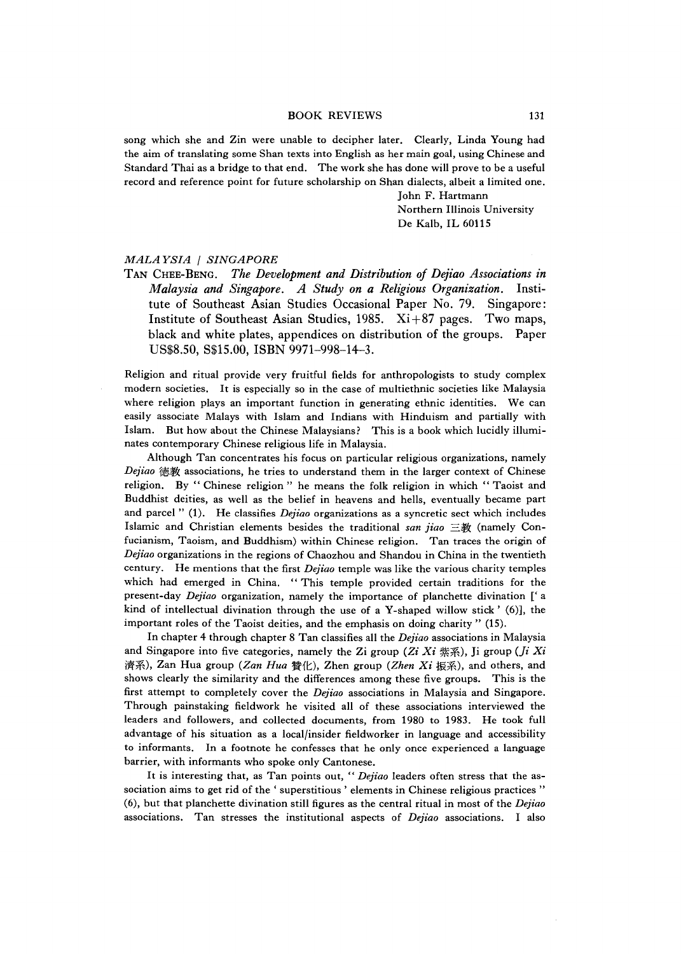## BOOK REVIEWS 131

song which she and Zin were unable to decipher later. Clearly, Linda Young had the aim of translating some Shan texts into English as her main goal, using Chinese and Standard Thai as a bridge to that end. The work she has done will prove to be a useful record and reference point for future scholarship on Shan dialects, albeit a limited one.

> John F. Hartmann Northern Illinois University De Kalb, IL 60115

## *MALAYSIA* | SINGAPORE

TAN CHEE-BENG. *The Development and Distribution of Dejiao Associations in Malaysia and Singapore, A Study on a Religious Organization.* Institute of Southeast Asian Studies Occasional Paper No. 79. Singapore: Institute of Southeast Asian Studies, 1985.  $Xi + 87$  pages. Two maps, black and white plates, appendices on distribution of the groups. Paper US\$8.50, S\$15.00, ISBN 9971-998-14-3.

Religion and ritual provide very fruitful fields for anthropologists to study complex modern societies. It is especially so in the case of multiethnic societies like Malaysia where religion plays an important function in generating ethnic identities. We can easily associate Malays with Islam and Indians with Hinduism and partially with Islam. But how about the Chinese Malaysians? This is a book which lucidly illuminates contemporary Chinese religious life in Malaysia.

Although Tan concentrates his focus on particular religious organizations, namely *Dejiao* f患教 associations, he tries to understand them in the larger context of Chinese religion. By " Chinese religion" he means the folk religion in which " Taoist and Buddhist deities, as well as the beliet in heavens and hells, eventually became part and parcel" (1). He classifies *Dejiao* organizations as a syncretic sect which includes Islamic and Christian elements besides the traditional *san jiao* 三 教 (namely Confucianism, Taoism, and Buddhism) within Chinese religion. Tan traces the origin of *Dejtao* organizations in the regions of Chaozhou and Shandou in China in the twentieth century. He mentions that the first *Dejiao* temple was like the various charity temples which had emerged in China. " This temple provided certain traditions for the present-day *Dejtao* organization, namely the importance of planchette divination *[(* a kind of intellectual divination through the use of a Y-shaped willow stick  $'$  (6)], the important roles of the Taoist deities, and the emphasis on doing charity " (15).

In chapter 4 through chapter 8 Tan classifies all the *Dejiao* associations in Malaysia and Singapore into five categories, namely the Zi group (Zi  $Xi$  i  $\ddot{x}$ ), Ji group (*Ji Xi* 濟系), Zan Hua group *(Zan Hua* 贊化), Zhen group *(Zhen Xi* 振系), and others, and shows clearly the similarity and the differences among these five groups. This is the first attempt to completely cover the *Dejiao* associations in Malaysia and Singapore. Through painstaking fieldwork he visited all of these associations interviewed the leaders and followers, and collected documents, from 1980 to 1983. He took full advantage of his situation as a local/insider fieldworker in language and accessibility to informants. In a footnote he confesses that he only once experienced a language barrier, with informants who spoke only Cantonese.

It is interesting that, as Tan points out, " *Dejiao* leaders often stress that the association aims to get rid of the ' superstitious ' elements in Chinese religious practices " (6),but that planchette divination still figures as the central ritual in most of the *Dejiao* associations. Tan stresses the institutional aspects of *Dejiao* associations. I also